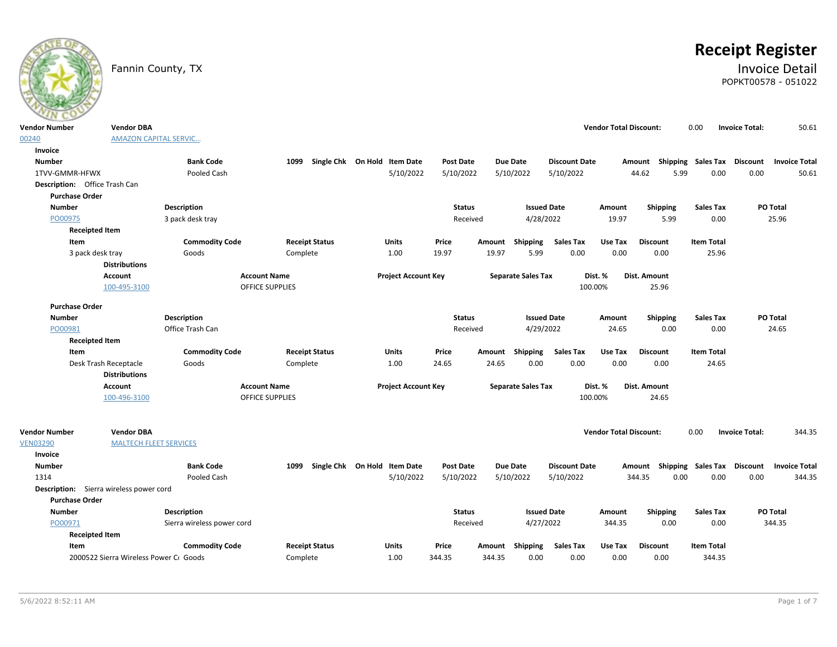

# **Receipt Register**

### Fannin County, TX **Invoice Detail** POPKT00578 - 051022

| <b>Vendor Number</b>                    | <b>Vendor DBA</b>                             |                            |                        |                              |                  |                           |                      | <b>Vendor Total Discount:</b> |                                    | 0.00              | 50.61<br><b>Invoice Total:</b>   |
|-----------------------------------------|-----------------------------------------------|----------------------------|------------------------|------------------------------|------------------|---------------------------|----------------------|-------------------------------|------------------------------------|-------------------|----------------------------------|
| 00240                                   | <b>AMAZON CAPITAL SERVIC</b>                  |                            |                        |                              |                  |                           |                      |                               |                                    |                   |                                  |
| Invoice                                 |                                               |                            |                        |                              |                  |                           |                      |                               |                                    |                   |                                  |
| <b>Number</b>                           |                                               | <b>Bank Code</b>           | 1099                   | Single Chk On Hold Item Date | <b>Post Date</b> | <b>Due Date</b>           | <b>Discount Date</b> |                               | Amount Shipping Sales Tax Discount |                   | <b>Invoice Total</b>             |
| 1TVV-GMMR-HFWX                          |                                               | Pooled Cash                |                        | 5/10/2022                    | 5/10/2022        | 5/10/2022                 | 5/10/2022            |                               | 44.62<br>5.99                      | 0.00              | 0.00<br>50.61                    |
| Description: Office Trash Can           |                                               |                            |                        |                              |                  |                           |                      |                               |                                    |                   |                                  |
| <b>Purchase Order</b>                   |                                               |                            |                        |                              |                  |                           |                      |                               |                                    |                   |                                  |
| <b>Number</b>                           |                                               | <b>Description</b>         |                        |                              | <b>Status</b>    |                           | <b>Issued Date</b>   | Amount                        | <b>Shipping</b>                    | <b>Sales Tax</b>  | <b>PO Total</b>                  |
| PO00975                                 |                                               | 3 pack desk tray           |                        |                              | Received         |                           | 4/28/2022            | 19.97                         | 5.99                               | 0.00              | 25.96                            |
| <b>Receipted Item</b>                   |                                               |                            |                        |                              |                  |                           |                      |                               |                                    |                   |                                  |
| Item                                    |                                               | <b>Commodity Code</b>      | <b>Receipt Status</b>  | Units                        | Price            | Amount Shipping           | <b>Sales Tax</b>     | Use Tax                       | <b>Discount</b>                    | <b>Item Total</b> |                                  |
| 3 pack desk tray                        |                                               | Goods                      | Complete               | 1.00                         | 19.97            | 19.97<br>5.99             | 0.00                 | 0.00                          | 0.00                               | 25.96             |                                  |
|                                         | <b>Distributions</b>                          |                            |                        |                              |                  |                           |                      |                               |                                    |                   |                                  |
|                                         | <b>Account</b>                                |                            | <b>Account Name</b>    | <b>Project Account Key</b>   |                  | <b>Separate Sales Tax</b> |                      | Dist. %                       | Dist. Amount                       |                   |                                  |
|                                         | 100-495-3100                                  |                            | <b>OFFICE SUPPLIES</b> |                              |                  |                           |                      | 100.00%                       | 25.96                              |                   |                                  |
| <b>Purchase Order</b>                   |                                               |                            |                        |                              |                  |                           |                      |                               |                                    |                   |                                  |
| <b>Number</b>                           |                                               | <b>Description</b>         |                        |                              | <b>Status</b>    |                           | <b>Issued Date</b>   | Amount                        | Shipping                           | <b>Sales Tax</b>  | <b>PO Total</b>                  |
| PO00981                                 |                                               | Office Trash Can           |                        |                              | Received         |                           | 4/29/2022            | 24.65                         | 0.00                               | 0.00              | 24.65                            |
| <b>Receipted Item</b>                   |                                               |                            |                        |                              |                  |                           |                      |                               |                                    |                   |                                  |
| Item                                    |                                               | <b>Commodity Code</b>      | <b>Receipt Status</b>  | Units                        | Price            | Amount Shipping           | <b>Sales Tax</b>     | Use Tax                       | <b>Discount</b>                    | <b>Item Total</b> |                                  |
|                                         | Desk Trash Receptacle<br><b>Distributions</b> | Goods                      | Complete               | 1.00                         | 24.65            | 24.65<br>0.00             | 0.00                 | 0.00                          | 0.00                               | 24.65             |                                  |
|                                         | Account                                       |                            | <b>Account Name</b>    | <b>Project Account Key</b>   |                  | <b>Separate Sales Tax</b> |                      | Dist. %                       | Dist. Amount                       |                   |                                  |
|                                         | 100-496-3100                                  |                            | <b>OFFICE SUPPLIES</b> |                              |                  |                           |                      | 100.00%                       | 24.65                              |                   |                                  |
|                                         |                                               |                            |                        |                              |                  |                           |                      |                               |                                    |                   |                                  |
| <b>Vendor Number</b>                    | <b>Vendor DBA</b>                             |                            |                        |                              |                  |                           |                      | <b>Vendor Total Discount:</b> |                                    | 0.00              | 344.35<br><b>Invoice Total:</b>  |
| <b>VEN03290</b>                         | <b>MALTECH FLEET SERVICES</b>                 |                            |                        |                              |                  |                           |                      |                               |                                    |                   |                                  |
| Invoice                                 |                                               |                            |                        |                              |                  |                           |                      |                               |                                    |                   |                                  |
| <b>Number</b>                           |                                               | <b>Bank Code</b>           | 1099                   | Single Chk On Hold Item Date | <b>Post Date</b> | <b>Due Date</b>           | <b>Discount Date</b> |                               | Amount Shipping Sales Tax          |                   | Discount<br><b>Invoice Total</b> |
| 1314                                    |                                               | Pooled Cash                |                        | 5/10/2022                    | 5/10/2022        | 5/10/2022                 | 5/10/2022            |                               | 344.35<br>0.00                     | 0.00              | 0.00<br>344.35                   |
| Description: Sierra wireless power cord |                                               |                            |                        |                              |                  |                           |                      |                               |                                    |                   |                                  |
| <b>Purchase Order</b>                   |                                               |                            |                        |                              |                  |                           |                      |                               |                                    |                   |                                  |
| <b>Number</b>                           |                                               | <b>Description</b>         |                        |                              | <b>Status</b>    |                           | <b>Issued Date</b>   | Amount                        | <b>Shipping</b>                    | <b>Sales Tax</b>  | <b>PO Total</b>                  |
| PO00971                                 |                                               | Sierra wireless power cord |                        |                              | Received         |                           | 4/27/2022            | 344.35                        | 0.00                               | 0.00              | 344.35                           |
| <b>Receipted Item</b>                   |                                               |                            |                        |                              |                  |                           |                      |                               |                                    |                   |                                  |
| Item                                    |                                               | <b>Commodity Code</b>      | <b>Receipt Status</b>  | Units                        | Price            | Amount Shipping           | <b>Sales Tax</b>     | Use Tax                       | <b>Discount</b>                    | <b>Item Total</b> |                                  |
|                                         | 2000522 Sierra Wireless Power Cr Goods        |                            | Complete               | 1.00                         | 344.35           | 0.00<br>344.35            | 0.00                 | 0.00                          | 0.00                               | 344.35            |                                  |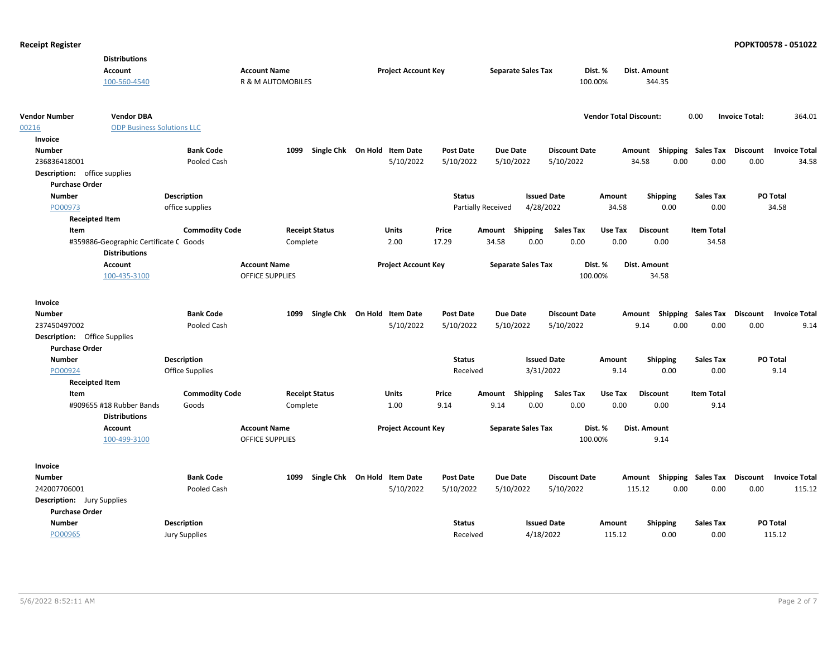|                                                              | <b>Distributions</b>                   |                       |                              |                            |                              |                  |                           |                           |                      |                               |                 |                             |                       |                      |
|--------------------------------------------------------------|----------------------------------------|-----------------------|------------------------------|----------------------------|------------------------------|------------------|---------------------------|---------------------------|----------------------|-------------------------------|-----------------|-----------------------------|-----------------------|----------------------|
|                                                              | <b>Account</b>                         |                       | <b>Account Name</b>          |                            | <b>Project Account Key</b>   |                  |                           | <b>Separate Sales Tax</b> |                      | Dist. %                       | Dist. Amount    |                             |                       |                      |
|                                                              | 100-560-4540                           |                       | <b>R &amp; M AUTOMOBILES</b> |                            |                              |                  |                           |                           | 100.00%              |                               | 344.35          |                             |                       |                      |
|                                                              |                                        |                       |                              |                            |                              |                  |                           |                           |                      |                               |                 |                             |                       |                      |
| <b>Vendor Number</b>                                         | <b>Vendor DBA</b>                      |                       |                              |                            |                              |                  |                           |                           |                      | <b>Vendor Total Discount:</b> |                 | 0.00                        | <b>Invoice Total:</b> | 364.01               |
| 00216                                                        | <b>ODP Business Solutions LLC</b>      |                       |                              |                            |                              |                  |                           |                           |                      |                               |                 |                             |                       |                      |
| Invoice                                                      |                                        |                       |                              |                            |                              |                  |                           |                           |                      |                               |                 |                             |                       |                      |
| Number                                                       |                                        | <b>Bank Code</b>      |                              | Single Chk On Hold<br>1099 | <b>Item Date</b>             | <b>Post Date</b> |                           | <b>Due Date</b>           | <b>Discount Date</b> |                               | Amount          | Shipping Sales Tax          | Discount              | <b>Invoice Total</b> |
| 236836418001                                                 |                                        | Pooled Cash           |                              |                            | 5/10/2022                    | 5/10/2022        |                           | 5/10/2022                 | 5/10/2022            |                               | 34.58<br>0.00   | 0.00                        | 0.00                  | 34.58                |
| <b>Description:</b> office supplies                          |                                        |                       |                              |                            |                              |                  |                           |                           |                      |                               |                 |                             |                       |                      |
| <b>Purchase Order</b>                                        |                                        |                       |                              |                            |                              |                  |                           |                           |                      |                               |                 |                             |                       |                      |
| <b>Number</b>                                                |                                        | <b>Description</b>    |                              |                            |                              |                  | <b>Status</b>             | <b>Issued Date</b>        |                      | Amount                        | <b>Shipping</b> | Sales Tax                   | PO Total              |                      |
| PO00973                                                      |                                        | office supplies       |                              |                            |                              |                  | <b>Partially Received</b> | 4/28/2022                 |                      | 34.58                         | 0.00            | 0.00                        |                       | 34.58                |
| <b>Receipted Item</b>                                        |                                        |                       |                              |                            |                              |                  |                           |                           |                      |                               |                 |                             |                       |                      |
| Item                                                         |                                        | <b>Commodity Code</b> |                              | <b>Receipt Status</b>      | <b>Units</b>                 | Price            |                           | Amount Shipping           | <b>Sales Tax</b>     | Use Tax                       | <b>Discount</b> | <b>Item Total</b>           |                       |                      |
|                                                              | #359886-Geographic Certificate C Goods |                       |                              | Complete                   | 2.00                         | 17.29            | 34.58                     | 0.00                      | 0.00                 | 0.00                          | 0.00            | 34.58                       |                       |                      |
|                                                              | <b>Distributions</b>                   |                       |                              |                            |                              |                  |                           |                           |                      |                               |                 |                             |                       |                      |
|                                                              | <b>Account</b>                         |                       | <b>Account Name</b>          |                            | <b>Project Account Key</b>   |                  |                           | <b>Separate Sales Tax</b> |                      | Dist. %                       | Dist. Amount    |                             |                       |                      |
|                                                              | 100-435-3100                           |                       | <b>OFFICE SUPPLIES</b>       |                            |                              |                  |                           |                           | 100.00%              |                               | 34.58           |                             |                       |                      |
| Invoice                                                      |                                        |                       |                              |                            |                              |                  |                           |                           |                      |                               |                 |                             |                       |                      |
| <b>Number</b>                                                |                                        | <b>Bank Code</b>      |                              | 1099                       | Single Chk On Hold Item Date | Post Date        |                           | <b>Due Date</b>           | <b>Discount Date</b> |                               | Amount          | Shipping Sales Tax Discount |                       | <b>Invoice Total</b> |
| 237450497002                                                 |                                        | Pooled Cash           |                              |                            | 5/10/2022                    | 5/10/2022        |                           | 5/10/2022                 | 5/10/2022            |                               | 9.14<br>0.00    | 0.00                        | 0.00                  | 9.14                 |
|                                                              |                                        |                       |                              |                            |                              |                  |                           |                           |                      |                               |                 |                             |                       |                      |
| <b>Description:</b> Office Supplies<br><b>Purchase Order</b> |                                        |                       |                              |                            |                              |                  |                           |                           |                      |                               |                 |                             |                       |                      |
| <b>Number</b>                                                |                                        | <b>Description</b>    |                              |                            |                              |                  | <b>Status</b>             | <b>Issued Date</b>        |                      | Amount                        | Shipping        | <b>Sales Tax</b>            | PO Total              |                      |
| PO00924                                                      |                                        | Office Supplies       |                              |                            |                              |                  | Received                  | 3/31/2022                 |                      | 9.14                          | 0.00            | 0.00                        |                       | 9.14                 |
| <b>Receipted Item</b>                                        |                                        |                       |                              |                            |                              |                  |                           |                           |                      |                               |                 |                             |                       |                      |
| Item                                                         |                                        | <b>Commodity Code</b> |                              | <b>Receipt Status</b>      | <b>Units</b>                 | Price            | Amount                    | <b>Shipping</b>           | <b>Sales Tax</b>     | Use Tax                       | <b>Discount</b> | <b>Item Total</b>           |                       |                      |
|                                                              | #909655 #18 Rubber Bands               | Goods                 |                              | Complete                   | 1.00                         | 9.14             | 9.14                      | 0.00                      | 0.00                 | 0.00                          | 0.00            | 9.14                        |                       |                      |
|                                                              | <b>Distributions</b>                   |                       |                              |                            |                              |                  |                           |                           |                      |                               |                 |                             |                       |                      |
|                                                              | <b>Account</b>                         |                       | <b>Account Name</b>          |                            | <b>Project Account Key</b>   |                  |                           | <b>Separate Sales Tax</b> |                      | Dist. %                       | Dist. Amount    |                             |                       |                      |
|                                                              | 100-499-3100                           |                       | <b>OFFICE SUPPLIES</b>       |                            |                              |                  |                           |                           | 100.00%              |                               | 9.14            |                             |                       |                      |
|                                                              |                                        |                       |                              |                            |                              |                  |                           |                           |                      |                               |                 |                             |                       |                      |
| Invoice                                                      |                                        |                       |                              |                            |                              |                  |                           |                           |                      |                               |                 |                             |                       |                      |
| <b>Number</b>                                                |                                        | <b>Bank Code</b>      |                              | 1099                       | Single Chk On Hold Item Date | Post Date        |                           | <b>Due Date</b>           | <b>Discount Date</b> |                               | Amount          | Shipping Sales Tax          | Discount              | <b>Invoice Total</b> |
| 242007706001                                                 |                                        | Pooled Cash           |                              |                            | 5/10/2022                    | 5/10/2022        |                           | 5/10/2022                 | 5/10/2022            |                               | 0.00<br>115.12  | 0.00                        | 0.00                  | 115.12               |
| <b>Description:</b> Jury Supplies                            |                                        |                       |                              |                            |                              |                  |                           |                           |                      |                               |                 |                             |                       |                      |
| <b>Purchase Order</b>                                        |                                        |                       |                              |                            |                              |                  |                           |                           |                      |                               |                 |                             |                       |                      |
| <b>Number</b>                                                |                                        | <b>Description</b>    |                              |                            |                              |                  | <b>Status</b>             | <b>Issued Date</b>        |                      | Amount                        | <b>Shipping</b> | <b>Sales Tax</b>            | PO Total              |                      |
| PO00965                                                      |                                        | <b>Jury Supplies</b>  |                              |                            |                              |                  | Received                  | 4/18/2022                 |                      | 115.12                        | 0.00            | 0.00                        |                       | 115.12               |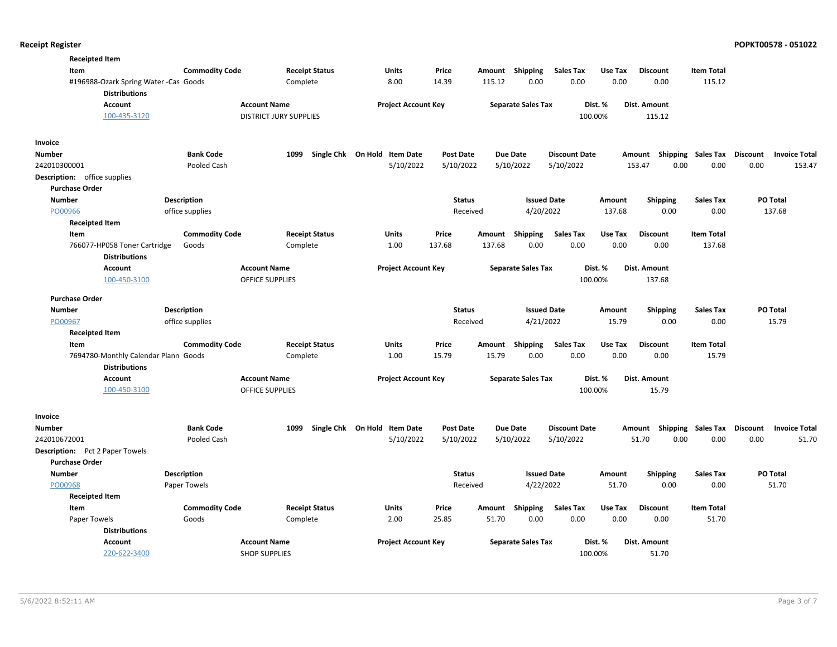| <b>Receipted Item</b>                                         |                       |                                                      |                       |                                   |                  |        |                           |                      |         |                                                                   |                   |          |                      |
|---------------------------------------------------------------|-----------------------|------------------------------------------------------|-----------------------|-----------------------------------|------------------|--------|---------------------------|----------------------|---------|-------------------------------------------------------------------|-------------------|----------|----------------------|
| Item                                                          | <b>Commodity Code</b> |                                                      | <b>Receipt Status</b> | <b>Units</b>                      | Price            |        | Amount Shipping           | <b>Sales Tax</b>     | Use Tax | <b>Discount</b>                                                   | <b>Item Total</b> |          |                      |
| #196988-Ozark Spring Water -Cas Goods<br><b>Distributions</b> |                       |                                                      | Complete              | 8.00                              | 14.39            | 115.12 | 0.00                      | 0.00                 | 0.00    | 0.00                                                              | 115.12            |          |                      |
| <b>Account</b><br>100-435-3120                                |                       | <b>Account Name</b><br><b>DISTRICT JURY SUPPLIES</b> |                       | <b>Project Account Key</b>        |                  |        | <b>Separate Sales Tax</b> | 100.00%              | Dist. % | Dist. Amount<br>115.12                                            |                   |          |                      |
|                                                               |                       |                                                      |                       |                                   |                  |        |                           |                      |         |                                                                   |                   |          |                      |
| Invoice                                                       |                       |                                                      |                       |                                   |                  |        |                           |                      |         |                                                                   |                   |          |                      |
| Number                                                        | <b>Bank Code</b>      | 1099                                                 | Single Chk On Hold    | <b>Item Date</b>                  | <b>Post Date</b> |        | <b>Due Date</b>           | <b>Discount Date</b> |         | Amount Shipping Sales Tax Discount                                |                   |          | <b>Invoice Total</b> |
| 242010300001                                                  | Pooled Cash           |                                                      |                       | 5/10/2022                         | 5/10/2022        |        | 5/10/2022                 | 5/10/2022            |         | 153.47<br>0.00                                                    | 0.00              | 0.00     | 153.47               |
| Description: office supplies                                  |                       |                                                      |                       |                                   |                  |        |                           |                      |         |                                                                   |                   |          |                      |
| <b>Purchase Order</b>                                         |                       |                                                      |                       |                                   |                  |        |                           |                      |         |                                                                   |                   |          |                      |
| <b>Number</b>                                                 | <b>Description</b>    |                                                      |                       |                                   | <b>Status</b>    |        | <b>Issued Date</b>        |                      | Amount  | <b>Shipping</b>                                                   | <b>Sales Tax</b>  | PO Total |                      |
| PO00966                                                       | office supplies       |                                                      |                       |                                   | Received         |        | 4/20/2022                 |                      | 137.68  | 0.00                                                              | 0.00              | 137.68   |                      |
| <b>Receipted Item</b>                                         |                       |                                                      |                       |                                   |                  |        |                           |                      |         |                                                                   |                   |          |                      |
| Item                                                          | <b>Commodity Code</b> |                                                      | <b>Receipt Status</b> | Units                             | Price            | Amount | <b>Shipping</b>           | <b>Sales Tax</b>     | Use Tax | <b>Discount</b>                                                   | <b>Item Total</b> |          |                      |
| 766077-HP058 Toner Cartridge<br><b>Distributions</b>          | Goods                 |                                                      | Complete              | 1.00                              | 137.68           | 137.68 | 0.00                      | 0.00                 | 0.00    | 0.00                                                              | 137.68            |          |                      |
| <b>Account</b>                                                |                       | <b>Account Name</b>                                  |                       | <b>Project Account Key</b>        |                  |        | <b>Separate Sales Tax</b> |                      | Dist. % | Dist. Amount                                                      |                   |          |                      |
| 100-450-3100                                                  |                       | <b>OFFICE SUPPLIES</b>                               |                       |                                   |                  |        |                           | 100.00%              |         | 137.68                                                            |                   |          |                      |
| <b>Purchase Order</b>                                         |                       |                                                      |                       |                                   |                  |        |                           |                      |         |                                                                   |                   |          |                      |
| <b>Number</b>                                                 | <b>Description</b>    |                                                      |                       |                                   | <b>Status</b>    |        | <b>Issued Date</b>        |                      | Amount  | <b>Shipping</b>                                                   | <b>Sales Tax</b>  | PO Total |                      |
| PO00967                                                       | office supplies       |                                                      |                       |                                   | Received         |        | 4/21/2022                 |                      | 15.79   | 0.00                                                              | 0.00              | 15.79    |                      |
| <b>Receipted Item</b>                                         |                       |                                                      |                       |                                   |                  |        |                           |                      |         |                                                                   |                   |          |                      |
| Item                                                          | <b>Commodity Code</b> |                                                      | <b>Receipt Status</b> | <b>Units</b>                      | Price            | Amount | Shipping                  | <b>Sales Tax</b>     | Use Tax | <b>Discount</b>                                                   | <b>Item Total</b> |          |                      |
| 7694780-Monthly Calendar Plann Goods                          |                       |                                                      | Complete              | 1.00                              | 15.79            | 15.79  | 0.00                      | 0.00                 | 0.00    | 0.00                                                              | 15.79             |          |                      |
| <b>Distributions</b>                                          |                       |                                                      |                       |                                   |                  |        |                           |                      |         |                                                                   |                   |          |                      |
| Account                                                       |                       | <b>Account Name</b>                                  |                       | <b>Project Account Key</b>        |                  |        | <b>Separate Sales Tax</b> |                      | Dist. % | <b>Dist. Amount</b>                                               |                   |          |                      |
| 100-450-3100                                                  |                       | <b>OFFICE SUPPLIES</b>                               |                       |                                   |                  |        |                           | 100.00%              |         | 15.79                                                             |                   |          |                      |
|                                                               |                       |                                                      |                       |                                   |                  |        |                           |                      |         |                                                                   |                   |          |                      |
| Invoice                                                       | <b>Bank Code</b>      |                                                      |                       | 1099 Single Chk On Hold Item Date | <b>Post Date</b> |        | <b>Due Date</b>           | <b>Discount Date</b> |         |                                                                   |                   |          |                      |
| Number<br>242010672001                                        | Pooled Cash           |                                                      |                       | 5/10/2022                         | 5/10/2022        |        | 5/10/2022                 | 5/10/2022            |         | Amount Shipping Sales Tax Discount Invoice Total<br>51.70<br>0.00 | 0.00              | 0.00     | 51.70                |
|                                                               |                       |                                                      |                       |                                   |                  |        |                           |                      |         |                                                                   |                   |          |                      |
| Description: Pct 2 Paper Towels<br><b>Purchase Order</b>      |                       |                                                      |                       |                                   |                  |        |                           |                      |         |                                                                   |                   |          |                      |
| <b>Number</b>                                                 | Description           |                                                      |                       |                                   | <b>Status</b>    |        | <b>Issued Date</b>        |                      | Amount  | <b>Shipping</b>                                                   | <b>Sales Tax</b>  | PO Total |                      |
| PO00968                                                       | Paper Towels          |                                                      |                       |                                   | Received         |        | 4/22/2022                 |                      | 51.70   | 0.00                                                              | 0.00              | 51.70    |                      |
| <b>Receipted Item</b>                                         |                       |                                                      |                       |                                   |                  |        |                           |                      |         |                                                                   |                   |          |                      |
| Item                                                          | <b>Commodity Code</b> |                                                      | <b>Receipt Status</b> | Units                             | Price            | Amount | Shipping                  | <b>Sales Tax</b>     | Use Tax | <b>Discount</b>                                                   | <b>Item Total</b> |          |                      |
| Paper Towels                                                  | Goods                 |                                                      | Complete              | 2.00                              | 25.85            | 51.70  | 0.00                      | 0.00                 | 0.00    | 0.00                                                              | 51.70             |          |                      |
| <b>Distributions</b>                                          |                       |                                                      |                       |                                   |                  |        |                           |                      |         |                                                                   |                   |          |                      |
| Account                                                       |                       | <b>Account Name</b>                                  |                       | <b>Project Account Key</b>        |                  |        | <b>Separate Sales Tax</b> |                      | Dist. % | Dist. Amount                                                      |                   |          |                      |
| 220-622-3400                                                  |                       | <b>SHOP SUPPLIES</b>                                 |                       |                                   |                  |        |                           | 100.00%              |         | 51.70                                                             |                   |          |                      |
|                                                               |                       |                                                      |                       |                                   |                  |        |                           |                      |         |                                                                   |                   |          |                      |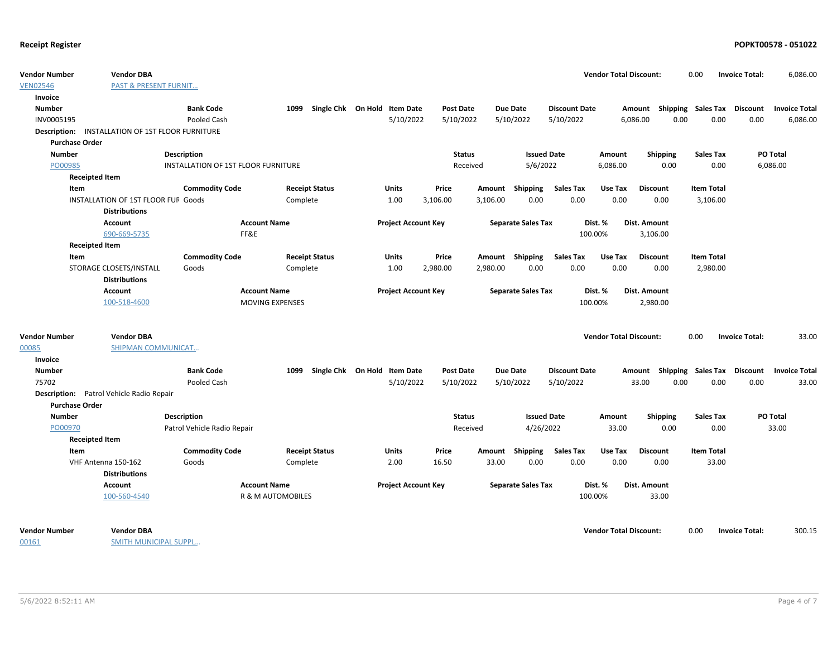| <b>Vendor Number</b>  | <b>Vendor DBA</b>                                       |                                     |                        |                              |                  |          |                           |                      | <b>Vendor Total Discount:</b> |                           | 0.00                      | <b>Invoice Total:</b> | 6,086.00             |
|-----------------------|---------------------------------------------------------|-------------------------------------|------------------------|------------------------------|------------------|----------|---------------------------|----------------------|-------------------------------|---------------------------|---------------------------|-----------------------|----------------------|
| <b>VEN02546</b>       | <b>PAST &amp; PRESENT FURNIT</b>                        |                                     |                        |                              |                  |          |                           |                      |                               |                           |                           |                       |                      |
| Invoice               |                                                         |                                     |                        |                              |                  |          |                           |                      |                               |                           |                           |                       |                      |
| <b>Number</b>         |                                                         | <b>Bank Code</b>                    | 1099                   | Single Chk On Hold Item Date | <b>Post Date</b> |          | <b>Due Date</b>           | <b>Discount Date</b> |                               | Amount Shipping Sales Tax |                           | Discount              | <b>Invoice Total</b> |
| INV0005195            |                                                         | Pooled Cash                         |                        | 5/10/2022                    | 5/10/2022        |          | 5/10/2022                 | 5/10/2022            |                               | 6,086.00<br>0.00          | 0.00                      | 0.00                  | 6,086.00             |
|                       | <b>Description: INSTALLATION OF 1ST FLOOR FURNITURE</b> |                                     |                        |                              |                  |          |                           |                      |                               |                           |                           |                       |                      |
| <b>Purchase Order</b> |                                                         |                                     |                        |                              |                  |          |                           |                      |                               |                           |                           |                       |                      |
| <b>Number</b>         |                                                         | <b>Description</b>                  |                        |                              | <b>Status</b>    |          | <b>Issued Date</b>        |                      | Amount                        | <b>Shipping</b>           | <b>Sales Tax</b>          | PO Total              |                      |
| PO00985               |                                                         | INSTALLATION OF 1ST FLOOR FURNITURE |                        |                              | Received         |          | 5/6/2022                  |                      | 6,086.00                      | 0.00                      | 0.00                      | 6,086.00              |                      |
|                       | <b>Receipted Item</b>                                   |                                     |                        |                              |                  |          |                           |                      |                               |                           |                           |                       |                      |
| Item                  |                                                         | <b>Commodity Code</b>               | <b>Receipt Status</b>  | <b>Units</b>                 | Price            |          | Amount Shipping           | <b>Sales Tax</b>     | Use Tax                       | <b>Discount</b>           | <b>Item Total</b>         |                       |                      |
|                       | INSTALLATION OF 1ST FLOOR FUF Goods                     |                                     | Complete               | 1.00                         | 3,106.00         | 3,106.00 | 0.00                      | 0.00                 | 0.00                          | 0.00                      | 3,106.00                  |                       |                      |
|                       | <b>Distributions</b>                                    |                                     |                        |                              |                  |          |                           |                      |                               |                           |                           |                       |                      |
|                       | Account                                                 |                                     | <b>Account Name</b>    | <b>Project Account Key</b>   |                  |          | <b>Separate Sales Tax</b> |                      | Dist. %                       | Dist. Amount              |                           |                       |                      |
|                       | 690-669-5735                                            |                                     | FF&E                   |                              |                  |          |                           |                      | 100.00%                       | 3,106.00                  |                           |                       |                      |
|                       | <b>Receipted Item</b>                                   |                                     |                        |                              |                  |          |                           |                      |                               |                           |                           |                       |                      |
| Item                  |                                                         | <b>Commodity Code</b>               | <b>Receipt Status</b>  | Units                        | Price            |          | Amount Shipping           | <b>Sales Tax</b>     | Use Tax                       | <b>Discount</b>           | <b>Item Total</b>         |                       |                      |
|                       | STORAGE CLOSETS/INSTALL                                 | Goods                               | Complete               | 1.00                         | 2,980.00         | 2,980.00 | 0.00                      | 0.00                 | 0.00                          | 0.00                      | 2,980.00                  |                       |                      |
|                       | <b>Distributions</b>                                    |                                     |                        |                              |                  |          |                           |                      |                               |                           |                           |                       |                      |
|                       | Account                                                 |                                     | <b>Account Name</b>    | <b>Project Account Key</b>   |                  |          | <b>Separate Sales Tax</b> |                      | Dist. %                       | Dist. Amount              |                           |                       |                      |
|                       | 100-518-4600                                            |                                     | <b>MOVING EXPENSES</b> |                              |                  |          |                           |                      | 100.00%                       | 2,980.00                  |                           |                       |                      |
|                       |                                                         |                                     |                        |                              |                  |          |                           |                      |                               |                           |                           |                       |                      |
| <b>Vendor Number</b>  | <b>Vendor DBA</b>                                       |                                     |                        |                              |                  |          |                           |                      | <b>Vendor Total Discount:</b> |                           | 0.00                      | <b>Invoice Total:</b> | 33.00                |
| 00085                 | SHIPMAN COMMUNICAT                                      |                                     |                        |                              |                  |          |                           |                      |                               |                           |                           |                       |                      |
| Invoice               |                                                         |                                     |                        |                              |                  |          |                           |                      |                               |                           |                           |                       |                      |
| Number                |                                                         | <b>Bank Code</b>                    | 1099                   | Single Chk On Hold Item Date | <b>Post Date</b> |          | <b>Due Date</b>           | <b>Discount Date</b> |                               | Amount                    | <b>Shipping Sales Tax</b> | <b>Discount</b>       | <b>Invoice Total</b> |
| 75702                 |                                                         | Pooled Cash                         |                        | 5/10/2022                    | 5/10/2022        |          | 5/10/2022                 | 5/10/2022            |                               | 33.00<br>0.00             | 0.00                      | 0.00                  | 33.00                |
|                       | Description: Patrol Vehicle Radio Repair                |                                     |                        |                              |                  |          |                           |                      |                               |                           |                           |                       |                      |
| <b>Purchase Order</b> |                                                         |                                     |                        |                              |                  |          |                           |                      |                               |                           |                           |                       |                      |
| <b>Number</b>         |                                                         | Description                         |                        |                              | Status           |          | <b>Issued Date</b>        |                      | Amount                        | <b>Shipping</b>           | <b>Sales Tax</b>          | <b>PO Total</b>       |                      |
| PO00970               |                                                         | Patrol Vehicle Radio Repair         |                        |                              | Received         |          | 4/26/2022                 |                      | 33.00                         | 0.00                      | 0.00                      | 33.00                 |                      |
|                       | <b>Receipted Item</b>                                   |                                     |                        |                              |                  |          |                           |                      |                               |                           |                           |                       |                      |
| Item                  |                                                         | <b>Commodity Code</b>               | <b>Receipt Status</b>  | <b>Units</b>                 | Price            | Amount   | Shipping                  | <b>Sales Tax</b>     | Use Tax                       | <b>Discount</b>           | <b>Item Total</b>         |                       |                      |
|                       | VHF Antenna 150-162                                     | Goods                               | Complete               | 2.00                         | 16.50            | 33.00    | 0.00                      | 0.00                 | 0.00                          | 0.00                      | 33.00                     |                       |                      |
|                       | <b>Distributions</b>                                    |                                     |                        |                              |                  |          |                           |                      |                               |                           |                           |                       |                      |
|                       | Account                                                 |                                     | <b>Account Name</b>    | <b>Project Account Key</b>   |                  |          | <b>Separate Sales Tax</b> |                      | Dist. %                       | Dist. Amount              |                           |                       |                      |
|                       | 100-560-4540                                            |                                     | R & M AUTOMOBILES      |                              |                  |          |                           |                      | 100.00%                       | 33.00                     |                           |                       |                      |
| <b>Vendor Number</b>  | <b>Vendor DBA</b>                                       |                                     |                        |                              |                  |          |                           |                      | <b>Vendor Total Discount:</b> |                           | 0.00                      | <b>Invoice Total:</b> | 300.15               |
| 00161                 | <b>SMITH MUNICIPAL SUPPL</b>                            |                                     |                        |                              |                  |          |                           |                      |                               |                           |                           |                       |                      |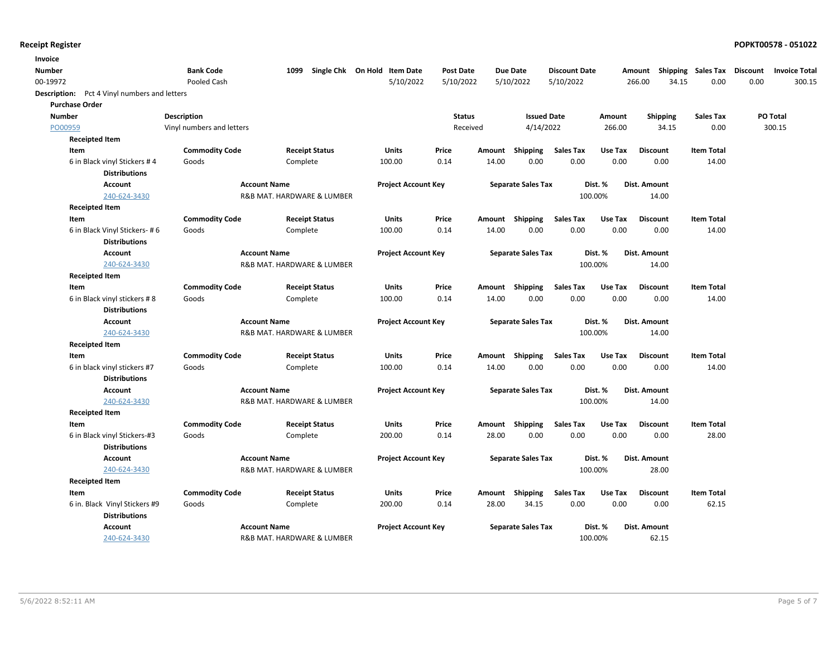| Invoice                                      |                           |                            |                              |                  |        |                           |                      |         |                 |                    |                 |                      |
|----------------------------------------------|---------------------------|----------------------------|------------------------------|------------------|--------|---------------------------|----------------------|---------|-----------------|--------------------|-----------------|----------------------|
| <b>Number</b>                                | <b>Bank Code</b>          | 1099                       | Single Chk On Hold Item Date | <b>Post Date</b> |        | <b>Due Date</b>           | <b>Discount Date</b> |         | Amount          | Shipping Sales Tax | <b>Discount</b> | <b>Invoice Total</b> |
| 00-19972                                     | Pooled Cash               |                            | 5/10/2022                    | 5/10/2022        |        | 5/10/2022                 | 5/10/2022            |         | 266.00<br>34.15 | 0.00               | 0.00            | 300.15               |
| Description: Pct 4 Vinyl numbers and letters |                           |                            |                              |                  |        |                           |                      |         |                 |                    |                 |                      |
| <b>Purchase Order</b>                        |                           |                            |                              |                  |        |                           |                      |         |                 |                    |                 |                      |
| <b>Number</b>                                | <b>Description</b>        |                            |                              | <b>Status</b>    |        | <b>Issued Date</b>        |                      | Amount  | Shipping        | <b>Sales Tax</b>   | PO Total        |                      |
| PO00959                                      | Vinyl numbers and letters |                            |                              | Received         |        | 4/14/2022                 |                      | 266.00  | 34.15           | 0.00               |                 | 300.15               |
| <b>Receipted Item</b>                        |                           |                            |                              |                  |        |                           |                      |         |                 |                    |                 |                      |
| Item                                         | <b>Commodity Code</b>     | <b>Receipt Status</b>      | Units                        | Price            | Amount | Shipping                  | <b>Sales Tax</b>     | Use Tax | <b>Discount</b> | <b>Item Total</b>  |                 |                      |
| 6 in Black vinyl Stickers #4                 | Goods                     | Complete                   | 100.00                       | 0.14             | 14.00  | 0.00                      | 0.00                 | 0.00    | 0.00            | 14.00              |                 |                      |
| <b>Distributions</b>                         |                           |                            |                              |                  |        |                           |                      |         |                 |                    |                 |                      |
| <b>Account</b>                               |                           | <b>Account Name</b>        | <b>Project Account Key</b>   |                  |        | <b>Separate Sales Tax</b> |                      | Dist. % | Dist. Amount    |                    |                 |                      |
| 240-624-3430                                 |                           | R&B MAT. HARDWARE & LUMBER |                              |                  |        |                           |                      | 100.00% | 14.00           |                    |                 |                      |
| <b>Receipted Item</b>                        |                           |                            |                              |                  |        |                           |                      |         |                 |                    |                 |                      |
| Item                                         | <b>Commodity Code</b>     | <b>Receipt Status</b>      | <b>Units</b>                 | Price            | Amount | Shipping                  | <b>Sales Tax</b>     | Use Tax | <b>Discount</b> | <b>Item Total</b>  |                 |                      |
| 6 in Black Vinyl Stickers- #6                | Goods                     | Complete                   | 100.00                       | 0.14             | 14.00  | 0.00                      | 0.00                 | 0.00    | 0.00            | 14.00              |                 |                      |
| <b>Distributions</b>                         |                           |                            |                              |                  |        |                           |                      |         |                 |                    |                 |                      |
| <b>Account</b>                               |                           | <b>Account Name</b>        | <b>Project Account Key</b>   |                  |        | <b>Separate Sales Tax</b> |                      | Dist. % | Dist. Amount    |                    |                 |                      |
| 240-624-3430                                 |                           | R&B MAT. HARDWARE & LUMBER |                              |                  |        |                           |                      | 100.00% | 14.00           |                    |                 |                      |
| <b>Receipted Item</b>                        |                           |                            |                              |                  |        |                           |                      |         |                 |                    |                 |                      |
| Item                                         | <b>Commodity Code</b>     | <b>Receipt Status</b>      | Units                        | Price            | Amount | Shipping                  | <b>Sales Tax</b>     | Use Tax | <b>Discount</b> | <b>Item Total</b>  |                 |                      |
| 6 in Black vinyl stickers #8                 | Goods                     | Complete                   | 100.00                       | 0.14             | 14.00  | 0.00                      | 0.00                 | 0.00    | 0.00            | 14.00              |                 |                      |
| <b>Distributions</b>                         |                           |                            |                              |                  |        |                           |                      |         |                 |                    |                 |                      |
| <b>Account</b>                               |                           | <b>Account Name</b>        | <b>Project Account Key</b>   |                  |        | <b>Separate Sales Tax</b> |                      | Dist. % | Dist. Amount    |                    |                 |                      |
| 240-624-3430                                 |                           | R&B MAT. HARDWARE & LUMBER |                              |                  |        |                           |                      | 100.00% | 14.00           |                    |                 |                      |
| <b>Receipted Item</b>                        |                           |                            |                              |                  |        |                           |                      |         |                 |                    |                 |                      |
| Item                                         | <b>Commodity Code</b>     | <b>Receipt Status</b>      | <b>Units</b>                 | Price            | Amount | Shipping                  | <b>Sales Tax</b>     | Use Tax | <b>Discount</b> | <b>Item Total</b>  |                 |                      |
| 6 in black vinyl stickers #7                 | Goods                     | Complete                   | 100.00                       | 0.14             | 14.00  | 0.00                      | 0.00                 | 0.00    | 0.00            | 14.00              |                 |                      |
| <b>Distributions</b>                         |                           |                            |                              |                  |        |                           |                      |         |                 |                    |                 |                      |
| <b>Account</b>                               |                           | <b>Account Name</b>        | <b>Project Account Key</b>   |                  |        | <b>Separate Sales Tax</b> |                      | Dist. % | Dist. Amount    |                    |                 |                      |
| 240-624-3430                                 |                           | R&B MAT. HARDWARE & LUMBER |                              |                  |        |                           |                      | 100.00% | 14.00           |                    |                 |                      |
| <b>Receipted Item</b>                        |                           |                            |                              |                  |        |                           |                      |         |                 |                    |                 |                      |
| Item                                         | <b>Commodity Code</b>     | <b>Receipt Status</b>      | Units                        | Price            | Amount | <b>Shipping</b>           | <b>Sales Tax</b>     | Use Tax | <b>Discount</b> | <b>Item Total</b>  |                 |                      |
| 6 in Black vinyl Stickers-#3                 | Goods                     | Complete                   | 200.00                       | 0.14             | 28.00  | 0.00                      | 0.00                 | 0.00    | 0.00            | 28.00              |                 |                      |
| <b>Distributions</b>                         |                           |                            |                              |                  |        |                           |                      |         |                 |                    |                 |                      |
| <b>Account</b>                               |                           | <b>Account Name</b>        | <b>Project Account Key</b>   |                  |        | <b>Separate Sales Tax</b> |                      | Dist. % | Dist. Amount    |                    |                 |                      |
| 240-624-3430                                 |                           | R&B MAT. HARDWARE & LUMBER |                              |                  |        |                           |                      | 100.00% | 28.00           |                    |                 |                      |
| <b>Receipted Item</b>                        |                           |                            |                              |                  |        |                           |                      |         |                 |                    |                 |                      |
| Item                                         | <b>Commodity Code</b>     | <b>Receipt Status</b>      | <b>Units</b>                 | Price            |        | Amount Shipping           | <b>Sales Tax</b>     | Use Tax | <b>Discount</b> | <b>Item Total</b>  |                 |                      |
| 6 in. Black Vinyl Stickers #9                | Goods                     | Complete                   | 200.00                       | 0.14             | 28.00  | 34.15                     | 0.00                 | 0.00    | 0.00            | 62.15              |                 |                      |
| <b>Distributions</b>                         |                           |                            |                              |                  |        |                           |                      |         |                 |                    |                 |                      |
| <b>Account</b>                               |                           | <b>Account Name</b>        | <b>Project Account Key</b>   |                  |        | <b>Separate Sales Tax</b> |                      | Dist. % | Dist. Amount    |                    |                 |                      |
| 240-624-3430                                 |                           | R&B MAT. HARDWARE & LUMBER |                              |                  |        |                           |                      | 100.00% | 62.15           |                    |                 |                      |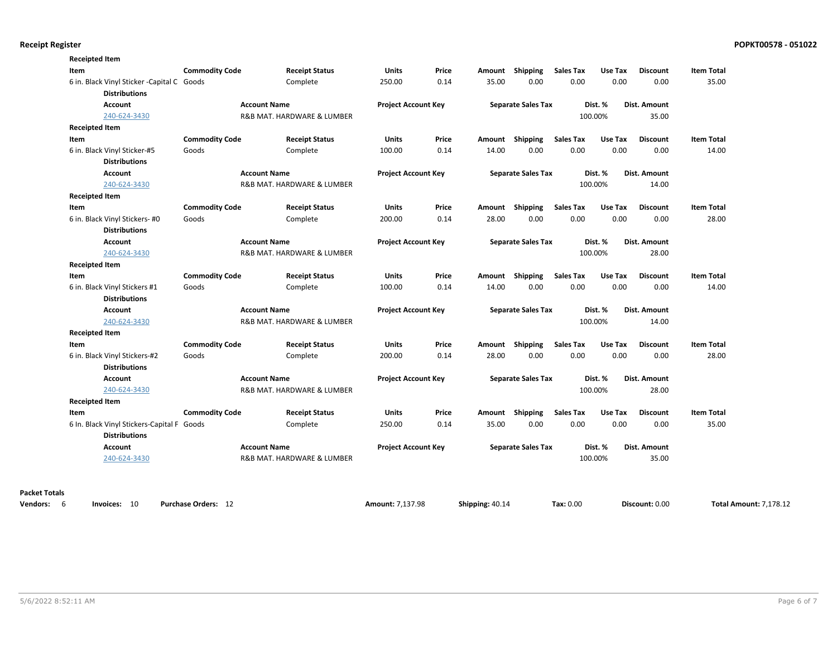| Item                                                                | <b>Commodity Code</b> | <b>Receipt Status</b>      | Units                      | Price | Amount | Shipping                  | <b>Sales Tax</b> | Use Tax | <b>Discount</b> | <b>Item Total</b> |
|---------------------------------------------------------------------|-----------------------|----------------------------|----------------------------|-------|--------|---------------------------|------------------|---------|-----------------|-------------------|
| 6 in. Black Vinyl Sticker - Capital C Goods<br><b>Distributions</b> |                       | Complete                   | 250.00                     | 0.14  | 35.00  | 0.00                      | 0.00             | 0.00    | 0.00            | 35.00             |
| Account                                                             |                       | <b>Account Name</b>        | <b>Project Account Key</b> |       |        | <b>Separate Sales Tax</b> |                  | Dist. % | Dist. Amount    |                   |
| 240-624-3430                                                        |                       | R&B MAT. HARDWARE & LUMBER |                            |       |        |                           |                  | 100.00% | 35.00           |                   |
| <b>Receipted Item</b>                                               |                       |                            |                            |       |        |                           |                  |         |                 |                   |
| Item                                                                | <b>Commodity Code</b> | <b>Receipt Status</b>      | Units                      | Price |        | Amount Shipping           | <b>Sales Tax</b> | Use Tax | <b>Discount</b> | <b>Item Total</b> |
| 6 in. Black Vinyl Sticker-#5                                        | Goods                 | Complete                   | 100.00                     | 0.14  | 14.00  | 0.00                      | 0.00             | 0.00    | 0.00            | 14.00             |
| <b>Distributions</b>                                                |                       |                            |                            |       |        |                           |                  |         |                 |                   |
| Account                                                             |                       | <b>Account Name</b>        | <b>Project Account Key</b> |       |        | <b>Separate Sales Tax</b> |                  | Dist. % | Dist. Amount    |                   |
| 240-624-3430                                                        |                       | R&B MAT. HARDWARE & LUMBER |                            |       |        |                           |                  | 100.00% | 14.00           |                   |
| <b>Receipted Item</b>                                               |                       |                            |                            |       |        |                           |                  |         |                 |                   |
| Item                                                                | <b>Commodity Code</b> | <b>Receipt Status</b>      | Units                      | Price |        | Amount Shipping           | <b>Sales Tax</b> | Use Tax | <b>Discount</b> | <b>Item Total</b> |
| 6 in. Black Vinyl Stickers- #0                                      | Goods                 | Complete                   | 200.00                     | 0.14  | 28.00  | 0.00                      | 0.00             | 0.00    | 0.00            | 28.00             |
| <b>Distributions</b>                                                |                       |                            |                            |       |        |                           |                  |         |                 |                   |
| Account                                                             |                       | <b>Account Name</b>        | <b>Project Account Key</b> |       |        | <b>Separate Sales Tax</b> |                  | Dist. % | Dist. Amount    |                   |
| 240-624-3430                                                        |                       | R&B MAT. HARDWARE & LUMBER |                            |       |        |                           |                  | 100.00% | 28.00           |                   |
| <b>Receipted Item</b>                                               |                       |                            |                            |       |        |                           |                  |         |                 |                   |
| Item                                                                | <b>Commodity Code</b> | <b>Receipt Status</b>      | Units                      | Price | Amount | Shipping                  | <b>Sales Tax</b> | Use Tax | <b>Discount</b> | <b>Item Total</b> |
| 6 in. Black Vinyl Stickers #1                                       | Goods                 | Complete                   | 100.00                     | 0.14  | 14.00  | 0.00                      | 0.00             | 0.00    | 0.00            | 14.00             |
| <b>Distributions</b>                                                |                       |                            |                            |       |        |                           |                  |         |                 |                   |
| Account                                                             |                       | <b>Account Name</b>        | <b>Project Account Key</b> |       |        | <b>Separate Sales Tax</b> |                  | Dist. % | Dist. Amount    |                   |
| 240-624-3430                                                        |                       | R&B MAT. HARDWARE & LUMBER |                            |       |        |                           |                  | 100.00% | 14.00           |                   |
| <b>Receipted Item</b>                                               |                       |                            |                            |       |        |                           |                  |         |                 |                   |
| Item                                                                | <b>Commodity Code</b> | <b>Receipt Status</b>      | Units                      | Price | Amount | Shipping                  | Sales Tax        | Use Tax | <b>Discount</b> | <b>Item Total</b> |
| 6 in. Black Vinyl Stickers-#2                                       | Goods                 | Complete                   | 200.00                     | 0.14  | 28.00  | 0.00                      | 0.00             | 0.00    | 0.00            | 28.00             |
| <b>Distributions</b>                                                |                       |                            |                            |       |        |                           |                  |         |                 |                   |
| Account                                                             |                       | <b>Account Name</b>        | <b>Project Account Key</b> |       |        | <b>Separate Sales Tax</b> |                  | Dist. % | Dist. Amount    |                   |
| 240-624-3430                                                        |                       | R&B MAT. HARDWARE & LUMBER |                            |       |        |                           |                  | 100.00% | 28.00           |                   |
| <b>Receipted Item</b>                                               |                       |                            |                            |       |        |                           |                  |         |                 |                   |
| Item                                                                | <b>Commodity Code</b> | <b>Receipt Status</b>      | <b>Units</b>               | Price | Amount | Shipping                  | <b>Sales Tax</b> | Use Tax | <b>Discount</b> | <b>Item Total</b> |
| 6 In. Black Vinyl Stickers-Capital F Goods                          |                       | Complete                   | 250.00                     | 0.14  | 35.00  | 0.00                      | 0.00             | 0.00    | 0.00            | 35.00             |
| <b>Distributions</b>                                                |                       |                            |                            |       |        |                           |                  |         |                 |                   |
| Account                                                             |                       | <b>Account Name</b>        | <b>Project Account Key</b> |       |        | <b>Separate Sales Tax</b> |                  | Dist. % | Dist. Amount    |                   |
| 240-624-3430                                                        |                       | R&B MAT. HARDWARE & LUMBER |                            |       |        |                           |                  | 100.00% | 35.00           |                   |
|                                                                     |                       |                            |                            |       |        |                           |                  |         |                 |                   |
|                                                                     |                       |                            |                            |       |        |                           |                  |         |                 |                   |